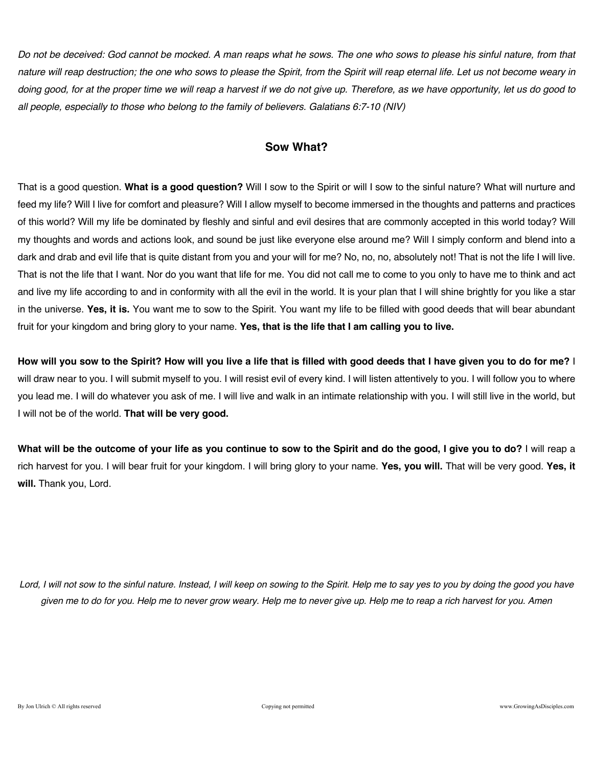*Do not be deceived: God cannot be mocked. A man reaps what he sows. The one who sows to please his sinful nature, from that nature will reap destruction; the one who sows to please the Spirit, from the Spirit will reap eternal life. Let us not become weary in doing good, for at the proper time we will reap a harvest if we do not give up. Therefore, as we have opportunity, let us do good to all people, especially to those who belong to the family of believers. Galatians 6:7-10 (NIV)*

### **Sow What?**

That is a good question. **What is a good question?** Will I sow to the Spirit or will I sow to the sinful nature? What will nurture and feed my life? Will I live for comfort and pleasure? Will I allow myself to become immersed in the thoughts and patterns and practices of this world? Will my life be dominated by fleshly and sinful and evil desires that are commonly accepted in this world today? Will my thoughts and words and actions look, and sound be just like everyone else around me? Will I simply conform and blend into a dark and drab and evil life that is quite distant from you and your will for me? No, no, no, absolutely not! That is not the life I will live. That is not the life that I want. Nor do you want that life for me. You did not call me to come to you only to have me to think and act and live my life according to and in conformity with all the evil in the world. It is your plan that I will shine brightly for you like a star in the universe. **Yes, it is.** You want me to sow to the Spirit. You want my life to be filled with good deeds that will bear abundant fruit for your kingdom and bring glory to your name. **Yes, that is the life that I am calling you to live.**

**How will you sow to the Spirit? How will you live a life that is filled with good deeds that I have given you to do for me?** I will draw near to you. I will submit myself to you. I will resist evil of every kind. I will listen attentively to you. I will follow you to where you lead me. I will do whatever you ask of me. I will live and walk in an intimate relationship with you. I will still live in the world, but I will not be of the world. **That will be very good.**

**What will be the outcome of your life as you continue to sow to the Spirit and do the good, I give you to do?** I will reap a rich harvest for you. I will bear fruit for your kingdom. I will bring glory to your name. **Yes, you will.** That will be very good. **Yes, it will.** Thank you, Lord.

*Lord, I will not sow to the sinful nature. Instead, I will keep on sowing to the Spirit. Help me to say yes to you by doing the good you have given me to do for you. Help me to never grow weary. Help me to never give up. Help me to reap a rich harvest for you. Amen*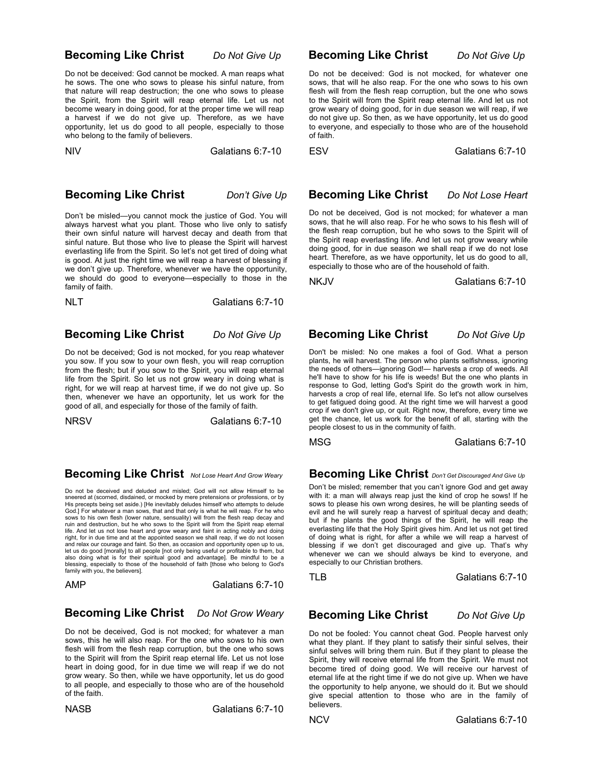### **Becoming Like Christ** *Do Not Give Up*

Do not be deceived: God cannot be mocked. A man reaps what he sows. The one who sows to please his sinful nature, from that nature will reap destruction; the one who sows to please the Spirit, from the Spirit will reap eternal life. Let us not become weary in doing good, for at the proper time we will reap a harvest if we do not give up. Therefore, as we have opportunity, let us do good to all people, especially to those who belong to the family of believers.

NIV Galatians 6:7-10

### **Becoming Like Christ** *Don't Give Up*

Don't be misled—you cannot mock the justice of God. You will always harvest what you plant. Those who live only to satisfy their own sinful nature will harvest decay and death from that sinful nature. But those who live to please the Spirit will harvest everlasting life from the Spirit. So let's not get tired of doing what is good. At just the right time we will reap a harvest of blessing if we don't give up. Therefore, whenever we have the opportunity, we should do good to everyone—especially to those in the family of faith.

NLT Galatians 6:7-10

#### **Becoming Like Christ** *Do Not Give Up*

Do not be deceived; God is not mocked, for you reap whatever you sow. If you sow to your own flesh, you will reap corruption from the flesh; but if you sow to the Spirit, you will reap eternal life from the Spirit. So let us not grow weary in doing what is right, for we will reap at harvest time, if we do not give up. So then, whenever we have an opportunity, let us work for the good of all, and especially for those of the family of faith.

NRSV Galatians 6:7-10

 **Becoming Like Christ** *Not Lose Heart And Grow Weary*

Do not be deceived and deluded and misled; God will not allow Himself to be sneered at (scorned, disdained, or mocked by mere pretensions or professions, or by His precepts being set aside.) [He inevitably deludes himself who attempts to delude God.] For whatever a man sows, that and that only is what he will reap. For he who sows to his own flesh (lower nature, sensuality) will from the flesh reap decay and ruin and destruction, but he who sows to the Spirit will from the Spirit reap eternal life. And let us not lose heart and grow weary and faint in acting nobly and doing right, for in due time and at the appointed season we shall reap, if we do not loosen and relax our courage and faint. So then, as occasion and opportunity open up to us, let us do good [morally] to all people [not only being useful or profitable to them, but also doing what is for their spiritual good and advantage]. Be mindful to be a blessing, especially to those of the household of faith [those who belong to God's family with you, the believers].

AMP Galatians 6:7-10

### **Becoming Like Christ** *Do Not Grow Weary*

Do not be deceived, God is not mocked; for whatever a man sows, this he will also reap. For the one who sows to his own flesh will from the flesh reap corruption, but the one who sows to the Spirit will from the Spirit reap eternal life. Let us not lose heart in doing good, for in due time we will reap if we do not grow weary. So then, while we have opportunity, let us do good to all people, and especially to those who are of the household of the faith.

NASB Galatians 6:7-10

### **Becoming Like Christ** *Do Not Give Up*

Do not be deceived: God is not mocked, for whatever one sows, that will he also reap. For the one who sows to his own flesh will from the flesh reap corruption, but the one who sows to the Spirit will from the Spirit reap eternal life. And let us not grow weary of doing good, for in due season we will reap, if we do not give up. So then, as we have opportunity, let us do good to everyone, and especially to those who are of the household of faith.

ESV Galatians 6:7-10

### **Becoming Like Christ** *Do Not Lose Heart*

Do not be deceived, God is not mocked; for whatever a man sows, that he will also reap. For he who sows to his flesh will of the flesh reap corruption, but he who sows to the Spirit will of the Spirit reap everlasting life. And let us not grow weary while doing good, for in due season we shall reap if we do not lose heart. Therefore, as we have opportunity, let us do good to all, especially to those who are of the household of faith.

NKJV Galatians 6:7-10

## **Becoming Like Christ** *Do Not Give Up*

Don't be misled: No one makes a fool of God. What a person plants, he will harvest. The person who plants selfishness, ignoring the needs of others—ignoring God!— harvests a crop of weeds. All he'll have to show for his life is weeds! But the one who plants in response to God, letting God's Spirit do the growth work in him, harvests a crop of real life, eternal life. So let's not allow ourselves to get fatigued doing good. At the right time we will harvest a good crop if we don't give up, or quit. Right now, therefore, every time we get the chance, let us work for the benefit of all, starting with the people closest to us in the community of faith.

MSG Galatians 6:7-10

### **Becoming Like Christ** *Don't Get Discouraged And Give Up*

Don't be misled; remember that you can't ignore God and get away with it: a man will always reap just the kind of crop he sows! If he sows to please his own wrong desires, he will be planting seeds of evil and he will surely reap a harvest of spiritual decay and death; but if he plants the good things of the Spirit, he will reap the everlasting life that the Holy Spirit gives him. And let us not get tired of doing what is right, for after a while we will reap a harvest of blessing if we don't get discouraged and give up. That's why whenever we can we should always be kind to everyone, and especially to our Christian brothers.

TLB Galatians 6:7-10

### **Becoming Like Christ** *Do Not Give Up*

Do not be fooled: You cannot cheat God. People harvest only what they plant. If they plant to satisfy their sinful selves, their sinful selves will bring them ruin. But if they plant to please the Spirit, they will receive eternal life from the Spirit. We must not become tired of doing good. We will receive our harvest of eternal life at the right time if we do not give up. When we have the opportunity to help anyone, we should do it. But we should give special attention to those who are in the family of believers.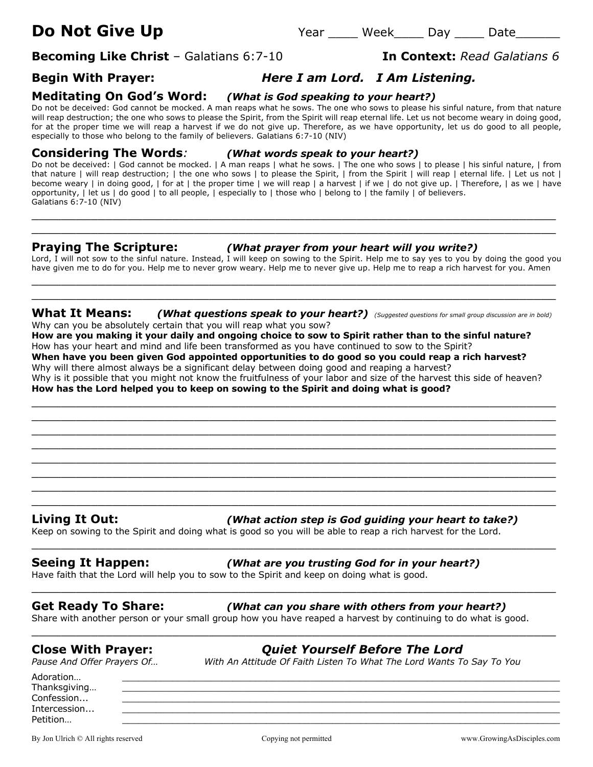**Becoming Like Christ** – Galatians 6:7-10 **In Context:** *Read Galatians 6*

# **Begin With Prayer:** *Here I am Lord. I Am Listening.*

**Meditating On God's Word:** *(What is God speaking to your heart?)*Do not be deceived: God cannot be mocked. A man reaps what he sows. The one who sows to please his sinful nature, from that nature will reap destruction; the one who sows to please the Spirit, from the Spirit will reap eternal life. Let us not become weary in doing good,

for at the proper time we will reap a harvest if we do not give up. Therefore, as we have opportunity, let us do good to all people, especially to those who belong to the family of believers. Galatians 6:7-10 (NIV)

**Considering The Words***: (What words speak to your heart?)*

Do not be deceived: | God cannot be mocked. | A man reaps | what he sows. | The one who sows | to please | his sinful nature, | from that nature | will reap destruction; | the one who sows | to please the Spirit, | from the Spirit | will reap | eternal life. | Let us not | become weary | in doing good, | for at | the proper time | we will reap | a harvest | if we | do not give up. | Therefore, | as we | have opportunity, | let us | do good | to all people, | especially to | those who | belong to | the family | of believers. Galatians 6:7-10 (NIV)

 $\_$  , and the contribution of the contribution of  $\mathcal{L}$  , and  $\mathcal{L}$  , and  $\mathcal{L}$  , and  $\mathcal{L}$  , and  $\mathcal{L}$  , and  $\mathcal{L}$  , and  $\mathcal{L}$  , and  $\mathcal{L}$  , and  $\mathcal{L}$  , and  $\mathcal{L}$  , and  $\mathcal{L}$  , and  $\mathcal{L$  $\_$  , and the set of the set of the set of the set of the set of the set of the set of the set of the set of the set of the set of the set of the set of the set of the set of the set of the set of the set of the set of th

### **Praying The Scripture:** *(What prayer from your heart will you write?)*

Lord, I will not sow to the sinful nature. Instead, I will keep on sowing to the Spirit. Help me to say yes to you by doing the good you have given me to do for you. Help me to never grow weary. Help me to never give up. Help me to reap a rich harvest for you. Amen

 $\_$  . The contribution of the contribution of  $\mathcal{L}_1$  ,  $\mathcal{L}_2$  ,  $\mathcal{L}_3$  ,  $\mathcal{L}_4$  ,  $\mathcal{L}_5$  ,  $\mathcal{L}_6$  ,  $\mathcal{L}_7$  ,  $\mathcal{L}_8$  ,  $\mathcal{L}_9$  ,  $\mathcal{L}_1$  ,  $\mathcal{L}_2$  ,  $\mathcal{L}_3$  ,  $\mathcal{L}_5$  ,  $\mathcal{L}_6$  ,  $\mathcal{L}_$  $\_$  , and the set of the set of the set of the set of the set of the set of the set of the set of the set of the set of the set of the set of the set of the set of the set of the set of the set of the set of the set of th

**What It Means:** *(What questions speak to your heart?) (Suggested questions for small group discussion are in bold)* Why can you be absolutely certain that you will reap what you sow?

**How are you making it your daily and ongoing choice to sow to Spirit rather than to the sinful nature?** How has your heart and mind and life been transformed as you have continued to sow to the Spirit? **When have you been given God appointed opportunities to do good so you could reap a rich harvest?** Why will there almost always be a significant delay between doing good and reaping a harvest?

Why is it possible that you might not know the fruitfulness of your labor and size of the harvest this side of heaven? **How has the Lord helped you to keep on sowing to the Spirit and doing what is good?**

 $\_$  , and the contribution of the contribution of  $\mathcal{L}$  , and  $\mathcal{L}$  , and  $\mathcal{L}$  , and  $\mathcal{L}$  , and  $\mathcal{L}$  , and  $\mathcal{L}$  , and  $\mathcal{L}$  , and  $\mathcal{L}$  , and  $\mathcal{L}$  , and  $\mathcal{L}$  , and  $\mathcal{L}$  , and  $\mathcal{L$ \_\_\_\_\_\_\_\_\_\_\_\_\_\_\_\_\_\_\_\_\_\_\_\_\_\_\_\_\_\_\_\_\_\_\_\_\_\_\_\_\_\_\_\_\_\_\_\_\_\_\_\_\_\_\_\_\_\_\_\_\_\_\_\_\_\_\_\_\_\_\_  $\_$  , and the contribution of the contribution of  $\mathcal{L}$  , and  $\mathcal{L}$  , and  $\mathcal{L}$  , and  $\mathcal{L}$  , and  $\mathcal{L}$  , and  $\mathcal{L}$  , and  $\mathcal{L}$  , and  $\mathcal{L}$  , and  $\mathcal{L}$  , and  $\mathcal{L}$  , and  $\mathcal{L}$  , and  $\mathcal{L$ \_\_\_\_\_\_\_\_\_\_\_\_\_\_\_\_\_\_\_\_\_\_\_\_\_\_\_\_\_\_\_\_\_\_\_\_\_\_\_\_\_\_\_\_\_\_\_\_\_\_\_\_\_\_\_\_\_\_\_\_\_\_\_\_\_\_\_\_\_\_\_ \_\_\_\_\_\_\_\_\_\_\_\_\_\_\_\_\_\_\_\_\_\_\_\_\_\_\_\_\_\_\_\_\_\_\_\_\_\_\_\_\_\_\_\_\_\_\_\_\_\_\_\_\_\_\_\_\_\_\_\_\_\_\_\_\_\_\_\_\_\_\_  $\_$  . The contribution of the contribution of  $\mathcal{L}_1$  ,  $\mathcal{L}_2$  ,  $\mathcal{L}_3$  ,  $\mathcal{L}_4$  ,  $\mathcal{L}_5$  ,  $\mathcal{L}_6$  ,  $\mathcal{L}_7$  ,  $\mathcal{L}_8$  ,  $\mathcal{L}_9$  ,  $\mathcal{L}_1$  ,  $\mathcal{L}_2$  ,  $\mathcal{L}_3$  ,  $\mathcal{L}_5$  ,  $\mathcal{L}_6$  ,  $\mathcal{L}_$  $\_$  , and the contribution of the contribution of  $\mathcal{L}$  , and  $\mathcal{L}$  , and  $\mathcal{L}$  , and  $\mathcal{L}$  , and  $\mathcal{L}$  , and  $\mathcal{L}$  , and  $\mathcal{L}$  , and  $\mathcal{L}$  , and  $\mathcal{L}$  , and  $\mathcal{L}$  , and  $\mathcal{L}$  , and  $\mathcal{L$ \_\_\_\_\_\_\_\_\_\_\_\_\_\_\_\_\_\_\_\_\_\_\_\_\_\_\_\_\_\_\_\_\_\_\_\_\_\_\_\_\_\_\_\_\_\_\_\_\_\_\_\_\_\_\_\_\_\_\_\_\_\_\_\_\_\_\_\_\_\_\_

# **Living It Out:** *(What action step is God guiding your heart to take?)*

Keep on sowing to the Spirit and doing what is good so you will be able to reap a rich harvest for the Lord.

# **Seeing It Happen:** *(What are you trusting God for in your heart?)*

Have faith that the Lord will help you to sow to the Spirit and keep on doing what is good.

# **Get Ready To Share:** *(What can you share with others from your heart?)*

Share with another person or your small group how you have reaped a harvest by continuing to do what is good. \_\_\_\_\_\_\_\_\_\_\_\_\_\_\_\_\_\_\_\_\_\_\_\_\_\_\_\_\_\_\_\_\_\_\_\_\_\_\_\_\_\_\_\_\_\_\_\_\_\_\_\_\_\_\_\_\_\_\_\_\_\_\_\_\_\_\_\_\_\_\_

\_\_\_\_\_\_\_\_\_\_\_\_\_\_\_\_\_\_\_\_\_\_\_\_\_\_\_\_\_\_\_\_\_\_\_\_\_\_\_\_\_\_\_\_\_\_\_\_\_\_\_\_\_\_\_\_\_\_\_\_\_\_\_\_\_\_\_\_\_\_\_

\_\_\_\_\_\_\_\_\_\_\_\_\_\_\_\_\_\_\_\_\_\_\_\_\_\_\_\_\_\_\_\_\_\_\_\_\_\_\_\_\_\_\_\_\_\_\_\_\_\_\_\_\_\_\_\_\_\_\_\_\_\_\_\_\_\_\_\_\_\_\_

# **Close With Prayer:** *Quiet Yourself Before The Lord*

*Pause And Offer Prayers Of… With An Attitude Of Faith Listen To What The Lord Wants To Say To You*

Adoration… \_\_\_\_\_\_\_\_\_\_\_\_\_\_\_\_\_\_\_\_\_\_\_\_\_\_\_\_\_\_\_\_\_\_\_\_\_\_\_\_\_\_\_\_\_\_\_\_\_\_\_\_\_\_\_\_\_\_\_\_\_\_\_\_\_\_\_\_\_\_\_\_\_\_\_\_\_\_\_ Thanksgiving...  $\textsf{Confession...}\qquad \qquad \underline{\hspace{2.5cm}}$ Intercession... \_\_\_\_\_\_\_\_\_\_\_\_\_\_\_\_\_\_\_\_\_\_\_\_\_\_\_\_\_\_\_\_\_\_\_\_\_\_\_\_\_\_\_\_\_\_\_\_\_\_\_\_\_\_\_\_\_\_\_\_\_\_\_\_\_\_\_\_\_\_\_\_\_\_\_\_\_\_\_ Petition… \_\_\_\_\_\_\_\_\_\_\_\_\_\_\_\_\_\_\_\_\_\_\_\_\_\_\_\_\_\_\_\_\_\_\_\_\_\_\_\_\_\_\_\_\_\_\_\_\_\_\_\_\_\_\_\_\_\_\_\_\_\_\_\_\_\_\_\_\_\_\_\_\_\_\_\_\_\_\_

By Jon Ulrich © All rights reserved compared copying not permitted www.GrowingAsDisciples.com